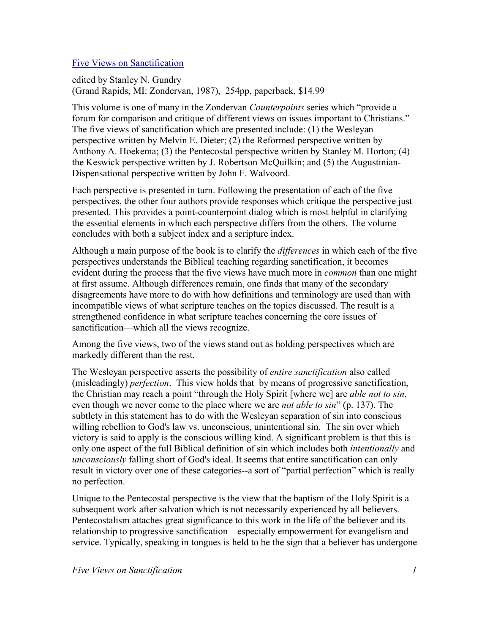## Five Views on Sanctification

edited by Stanley N. Gundry (Grand Rapids, MI: Zondervan, 1987), 254pp, paperback, \$14.99

This volume is one of many in the Zondervan *Counterpoints* series which "provide a forum for comparison and critique of different views on issues important to Christians." The five views of sanctification which are presented include: (1) the Wesleyan perspective written by Melvin E. Dieter; (2) the Reformed perspective written by Anthony A. Hoekema; (3) the Pentecostal perspective written by Stanley M. Horton; (4) the Keswick perspective written by J. Robertson McQuilkin; and (5) the Augustinian-Dispensational perspective written by John F. Walvoord.

Each perspective is presented in turn. Following the presentation of each of the five perspectives, the other four authors provide responses which critique the perspective just presented. This provides a point-counterpoint dialog which is most helpful in clarifying the essential elements in which each perspective differs from the others. The volume concludes with both a subject index and a scripture index.

Although a main purpose of the book is to clarify the *differences* in which each of the five perspectives understands the Biblical teaching regarding sanctification, it becomes evident during the process that the five views have much more in *common* than one might at first assume. Although differences remain, one finds that many of the secondary disagreements have more to do with how definitions and terminology are used than with incompatible views of what scripture teaches on the topics discussed. The result is a strengthened confidence in what scripture teaches concerning the core issues of sanctification—which all the views recognize.

Among the five views, two of the views stand out as holding perspectives which are markedly different than the rest.

The Wesleyan perspective asserts the possibility of *entire sanctification* also called (misleadingly) *perfection*. This view holds that by means of progressive sanctification, the Christian may reach a point "through the Holy Spirit [where we] are *able not to sin*, even though we never come to the place where we are *not able to sin*" (p. 137). The subtlety in this statement has to do with the Wesleyan separation of sin into conscious willing rebellion to God's law vs. unconscious, unintentional sin. The sin over which victory is said to apply is the conscious willing kind. A significant problem is that this is only one aspect of the full Biblical definition of sin which includes both *intentionally* and *unconsciously* falling short of God's ideal. It seems that entire sanctification can only result in victory over one of these categories--a sort of "partial perfection" which is really no perfection.

Unique to the Pentecostal perspective is the view that the baptism of the Holy Spirit is a subsequent work after salvation which is not necessarily experienced by all believers. Pentecostalism attaches great significance to this work in the life of the believer and its relationship to progressive sanctification—especially empowerment for evangelism and service. Typically, speaking in tongues is held to be the sign that a believer has undergone